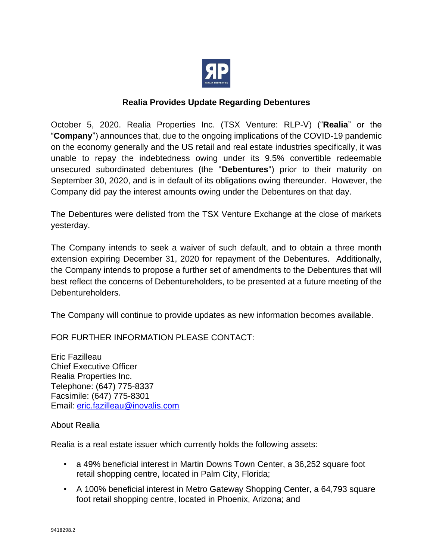

## **Realia Provides Update Regarding Debentures**

October 5, 2020. Realia Properties Inc. (TSX Venture: RLP-V) ("**Realia**" or the "**Company**") announces that, due to the ongoing implications of the COVID-19 pandemic on the economy generally and the US retail and real estate industries specifically, it was unable to repay the indebtedness owing under its 9.5% convertible redeemable unsecured subordinated debentures (the "**Debentures**") prior to their maturity on September 30, 2020, and is in default of its obligations owing thereunder. However, the Company did pay the interest amounts owing under the Debentures on that day.

The Debentures were delisted from the TSX Venture Exchange at the close of markets yesterday.

The Company intends to seek a waiver of such default, and to obtain a three month extension expiring December 31, 2020 for repayment of the Debentures. Additionally, the Company intends to propose a further set of amendments to the Debentures that will best reflect the concerns of Debentureholders, to be presented at a future meeting of the Debentureholders.

The Company will continue to provide updates as new information becomes available.

FOR FURTHER INFORMATION PLEASE CONTACT:

Eric Fazilleau Chief Executive Officer Realia Properties Inc. Telephone: (647) 775-8337 Facsimile: (647) 775-8301 Email: [eric.fazilleau@inovalis.com](mailto:eric.fazilleau@inovalis.com)

## About Realia

Realia is a real estate issuer which currently holds the following assets:

- a 49% beneficial interest in Martin Downs Town Center, a 36,252 square foot retail shopping centre, located in Palm City, Florida;
- A 100% beneficial interest in Metro Gateway Shopping Center, a 64,793 square foot retail shopping centre, located in Phoenix, Arizona; and